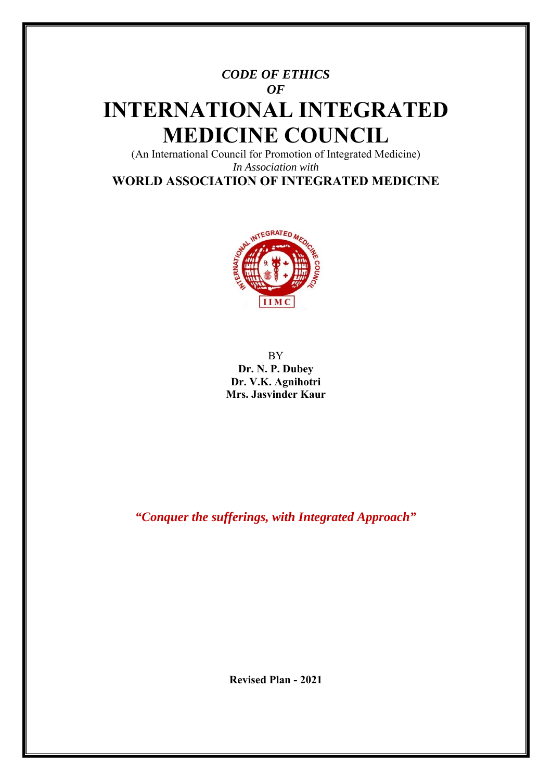# *CODE OF ETHICS OF*  **INTERNATIONAL INTEGRATED MEDICINE COUNCIL**

(An International Council for Promotion of Integrated Medicine) *In Association with*  **WORLD ASSOCIATION OF INTEGRATED MEDICINE**



BY **Dr. N. P. Dubey Dr. V.K. Agnihotri Mrs. Jasvinder Kaur** 

*"Conquer the sufferings, with Integrated Approach"* 

**Revised Plan - 2021**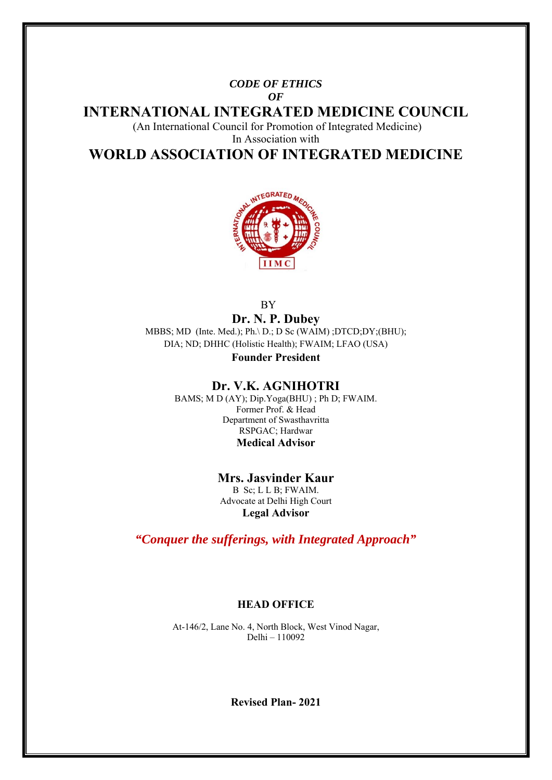#### *CODE OF ETHICS OF*

**INTERNATIONAL INTEGRATED MEDICINE COUNCIL** 

(An International Council for Promotion of Integrated Medicine)

In Association with

**WORLD ASSOCIATION OF INTEGRATED MEDICINE** 



**BY** 

**Dr. N. P. Dubey**  MBBS; MD (Inte. Med.); Ph.\ D.; D Sc (WAIM) ;DTCD;DY;(BHU); DIA; ND; DHHC (Holistic Health); FWAIM; LFAO (USA)

**Founder President** 

# **Dr. V.K. AGNIHOTRI**

BAMS; M D (AY); Dip.Yoga(BHU) ; Ph D; FWAIM. Former Prof. & Head Department of Swasthavritta RSPGAC; Hardwar **Medical Advisor** 

> **Mrs. Jasvinder Kaur**  B Sc; L L B; FWAIM. Advocate at Delhi High Court **Legal Advisor**

*"Conquer the sufferings, with Integrated Approach"* 

# **HEAD OFFICE**

At-146/2, Lane No. 4, North Block, West Vinod Nagar, Delhi – 110092

**Revised Plan- 2021**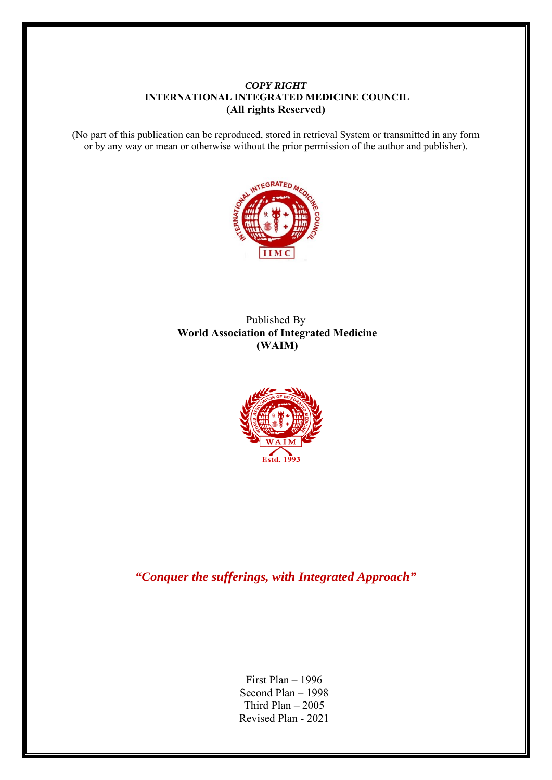#### *COPY RIGHT*   **INTERNATIONAL INTEGRATED MEDICINE COUNCIL (All rights Reserved)**

(No part of this publication can be reproduced, stored in retrieval System or transmitted in any form or by any way or mean or otherwise without the prior permission of the author and publisher).



## Published By **World Association of Integrated Medicine (WAIM)**



*"Conquer the sufferings, with Integrated Approach"* 

First Plan – 1996 Second Plan – 1998 Third Plan  $-2005$ Revised Plan - 2021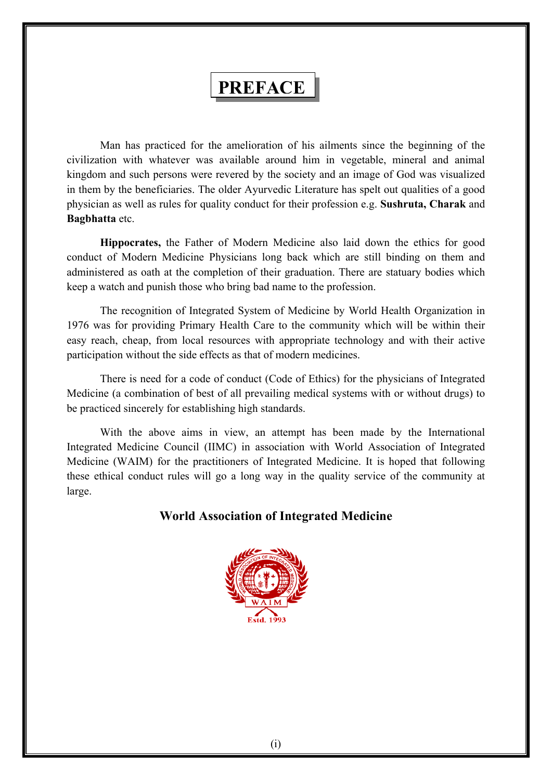# **PREFACE**

 Man has practiced for the amelioration of his ailments since the beginning of the civilization with whatever was available around him in vegetable, mineral and animal kingdom and such persons were revered by the society and an image of God was visualized in them by the beneficiaries. The older Ayurvedic Literature has spelt out qualities of a good physician as well as rules for quality conduct for their profession e.g. **Sushruta, Charak** and **Bagbhatta** etc.

**Hippocrates,** the Father of Modern Medicine also laid down the ethics for good conduct of Modern Medicine Physicians long back which are still binding on them and administered as oath at the completion of their graduation. There are statuary bodies which keep a watch and punish those who bring bad name to the profession.

 The recognition of Integrated System of Medicine by World Health Organization in 1976 was for providing Primary Health Care to the community which will be within their easy reach, cheap, from local resources with appropriate technology and with their active participation without the side effects as that of modern medicines.

 There is need for a code of conduct (Code of Ethics) for the physicians of Integrated Medicine (a combination of best of all prevailing medical systems with or without drugs) to be practiced sincerely for establishing high standards.

 With the above aims in view, an attempt has been made by the International Integrated Medicine Council (IIMC) in association with World Association of Integrated Medicine (WAIM) for the practitioners of Integrated Medicine. It is hoped that following these ethical conduct rules will go a long way in the quality service of the community at large.

# **World Association of Integrated Medicine**

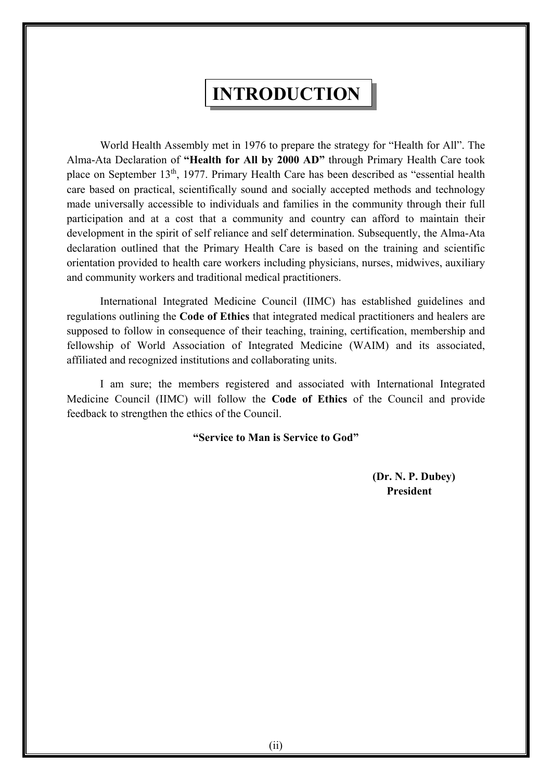# **INTRODUCTION**

 World Health Assembly met in 1976 to prepare the strategy for "Health for All". The Alma-Ata Declaration of **"Health for All by 2000 AD"** through Primary Health Care took place on September 13th, 1977. Primary Health Care has been described as "essential health care based on practical, scientifically sound and socially accepted methods and technology made universally accessible to individuals and families in the community through their full participation and at a cost that a community and country can afford to maintain their development in the spirit of self reliance and self determination. Subsequently, the Alma-Ata declaration outlined that the Primary Health Care is based on the training and scientific orientation provided to health care workers including physicians, nurses, midwives, auxiliary and community workers and traditional medical practitioners.

 International Integrated Medicine Council (IIMC) has established guidelines and regulations outlining the **Code of Ethics** that integrated medical practitioners and healers are supposed to follow in consequence of their teaching, training, certification, membership and fellowship of World Association of Integrated Medicine (WAIM) and its associated, affiliated and recognized institutions and collaborating units.

 I am sure; the members registered and associated with International Integrated Medicine Council (IIMC) will follow the **Code of Ethics** of the Council and provide feedback to strengthen the ethics of the Council.

**"Service to Man is Service to God"** 

 **(Dr. N. P. Dubey) President**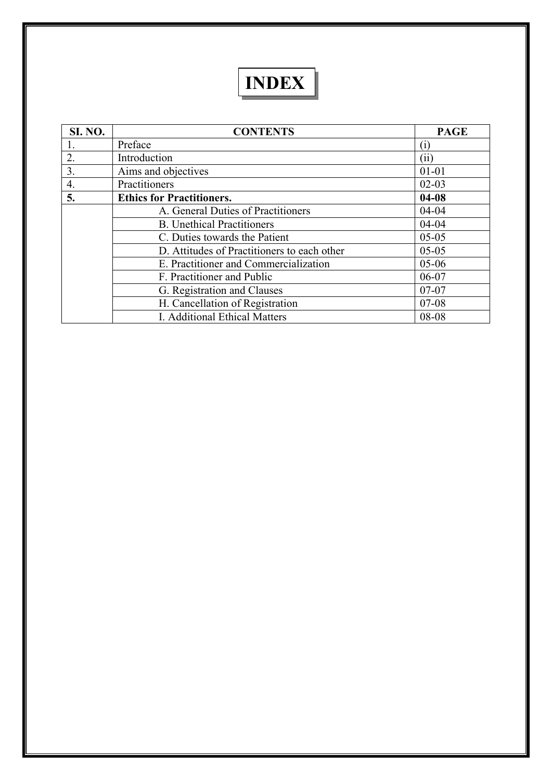# **INDEX**

| <b>SI. NO.</b> | <b>CONTENTS</b>                             | <b>PAGE</b> |
|----------------|---------------------------------------------|-------------|
|                | Preface                                     |             |
| 2.             | Introduction                                | (11)        |
| 3.             | Aims and objectives                         | $01 - 01$   |
| 4.             | Practitioners                               | $02 - 03$   |
| 5.             | <b>Ethics for Practitioners.</b>            | $04 - 08$   |
|                | A. General Duties of Practitioners          | $04 - 04$   |
|                | <b>B.</b> Unethical Practitioners           | $04 - 04$   |
|                | C. Duties towards the Patient               | $05 - 05$   |
|                | D. Attitudes of Practitioners to each other | $05-05$     |
|                | E. Practitioner and Commercialization       | $05 - 06$   |
|                | F. Practitioner and Public                  | $06 - 07$   |
|                | G. Registration and Clauses                 | $07-07$     |
|                | H. Cancellation of Registration             | $07 - 08$   |
|                | I. Additional Ethical Matters               | 08-08       |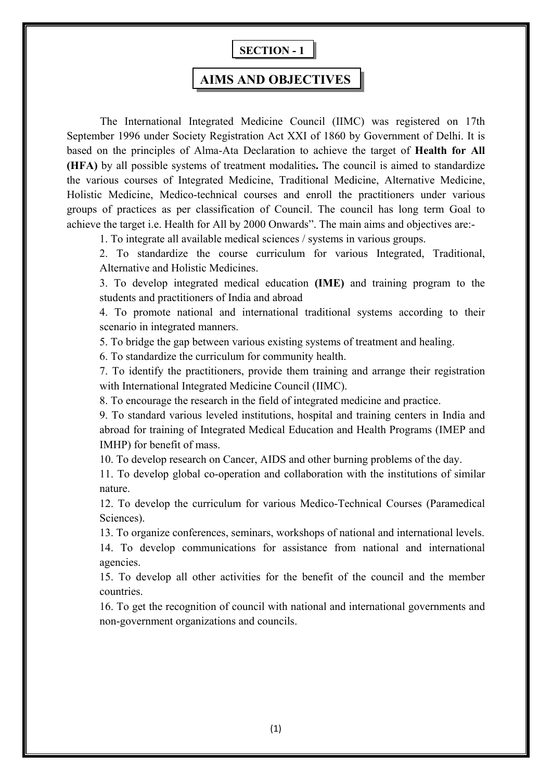# **SECTION - 1**

# **AIMS AND OBJECTIVES**

 The International Integrated Medicine Council (IIMC) was registered on 17th September 1996 under Society Registration Act XXI of 1860 by Government of Delhi. It is based on the principles of Alma-Ata Declaration to achieve the target of **Health for All (HFA)** by all possible systems of treatment modalities**.** The council is aimed to standardize the various courses of Integrated Medicine, Traditional Medicine, Alternative Medicine, Holistic Medicine, Medico-technical courses and enroll the practitioners under various groups of practices as per classification of Council. The council has long term Goal to achieve the target i.e. Health for All by 2000 Onwards". The main aims and objectives are:-

1. To integrate all available medical sciences / systems in various groups.

2. To standardize the course curriculum for various Integrated, Traditional, Alternative and Holistic Medicines.

3. To develop integrated medical education **(IME)** and training program to the students and practitioners of India and abroad

4. To promote national and international traditional systems according to their scenario in integrated manners.

5. To bridge the gap between various existing systems of treatment and healing.

6. To standardize the curriculum for community health.

7. To identify the practitioners, provide them training and arrange their registration with International Integrated Medicine Council (IIMC).

8. To encourage the research in the field of integrated medicine and practice.

9. To standard various leveled institutions, hospital and training centers in India and abroad for training of Integrated Medical Education and Health Programs (IMEP and IMHP) for benefit of mass.

10. To develop research on Cancer, AIDS and other burning problems of the day.

11. To develop global co-operation and collaboration with the institutions of similar nature.

12. To develop the curriculum for various Medico-Technical Courses (Paramedical Sciences).

13. To organize conferences, seminars, workshops of national and international levels.

14. To develop communications for assistance from national and international agencies.

15. To develop all other activities for the benefit of the council and the member countries.

16. To get the recognition of council with national and international governments and non-government organizations and councils.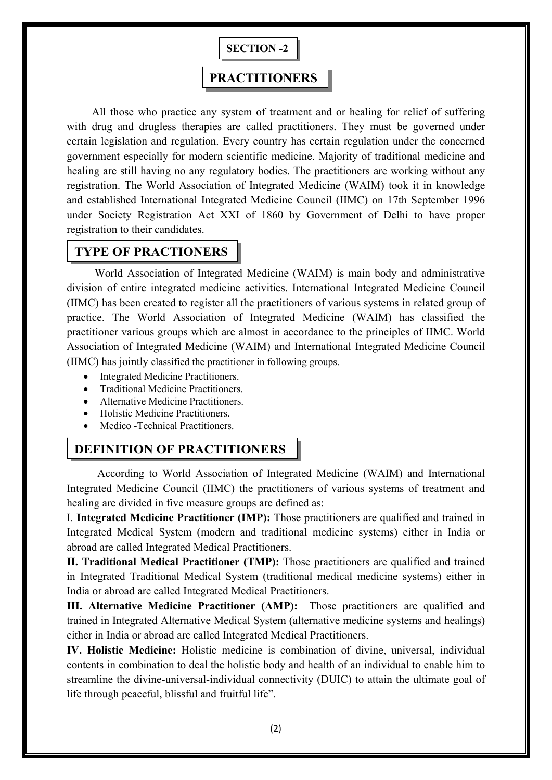

# **PRACTITIONERS**

 All those who practice any system of treatment and or healing for relief of suffering with drug and drugless therapies are called practitioners. They must be governed under certain legislation and regulation. Every country has certain regulation under the concerned government especially for modern scientific medicine. Majority of traditional medicine and healing are still having no any regulatory bodies. The practitioners are working without any registration. The World Association of Integrated Medicine (WAIM) took it in knowledge and established International Integrated Medicine Council (IIMC) on 17th September 1996 under Society Registration Act XXI of 1860 by Government of Delhi to have proper registration to their candidates.

# **TYPE OF PRACTIONERS**

 World Association of Integrated Medicine (WAIM) is main body and administrative division of entire integrated medicine activities. International Integrated Medicine Council (IIMC) has been created to register all the practitioners of various systems in related group of practice. The World Association of Integrated Medicine (WAIM) has classified the practitioner various groups which are almost in accordance to the principles of IIMC. World Association of Integrated Medicine (WAIM) and International Integrated Medicine Council (IIMC) has jointly classified the practitioner in following groups.

- Integrated Medicine Practitioners.
- Traditional Medicine Practitioners.
- Alternative Medicine Practitioners.
- Holistic Medicine Practitioners.
- Medico -Technical Practitioners.

# **DEFINITION OF PRACTITIONERS**

 According to World Association of Integrated Medicine (WAIM) and International Integrated Medicine Council (IIMC) the practitioners of various systems of treatment and healing are divided in five measure groups are defined as:

I. **Integrated Medicine Practitioner (IMP):** Those practitioners are qualified and trained in Integrated Medical System (modern and traditional medicine systems) either in India or abroad are called Integrated Medical Practitioners.

**II. Traditional Medical Practitioner (TMP):** Those practitioners are qualified and trained in Integrated Traditional Medical System (traditional medical medicine systems) either in India or abroad are called Integrated Medical Practitioners.

**III. Alternative Medicine Practitioner (AMP):** Those practitioners are qualified and trained in Integrated Alternative Medical System (alternative medicine systems and healings) either in India or abroad are called Integrated Medical Practitioners.

**IV. Holistic Medicine:** Holistic medicine is combination of divine, universal, individual contents in combination to deal the holistic body and health of an individual to enable him to streamline the divine-universal-individual connectivity (DUIC) to attain the ultimate goal of life through peaceful, blissful and fruitful life".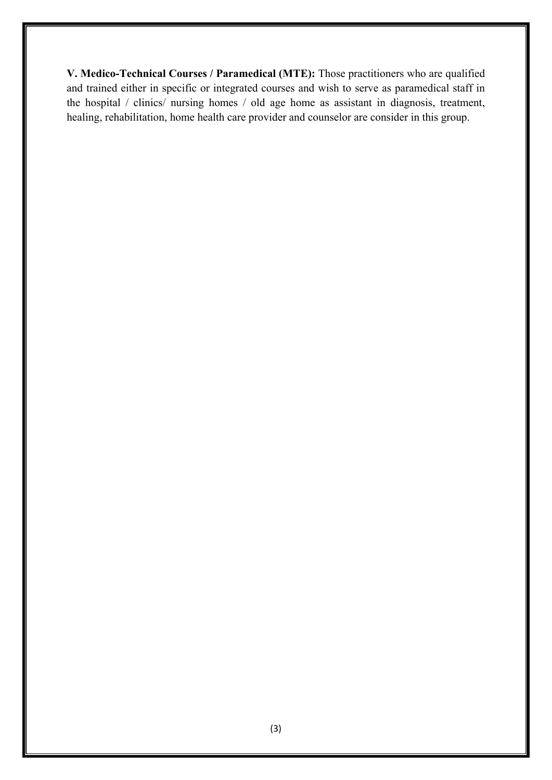**V. Medico-Technical Courses / Paramedical (MTE):** Those practitioners who are qualified and trained either in specific or integrated courses and wish to serve as paramedical staff in the hospital / clinics/ nursing homes / old age home as assistant in diagnosis, treatment, healing, rehabilitation, home health care provider and counselor are consider in this group.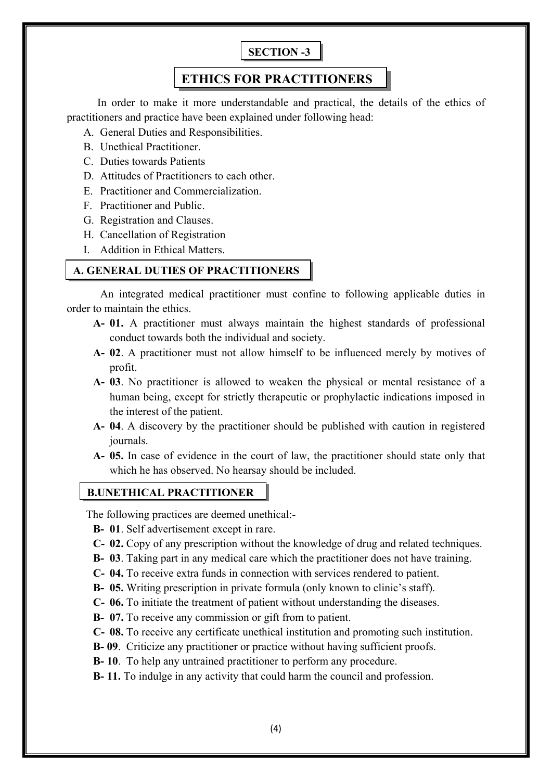# **SECTION -3**

# **ETHICS FOR PRACTITIONERS**

 In order to make it more understandable and practical, the details of the ethics of practitioners and practice have been explained under following head:

- A. General Duties and Responsibilities.
- B. Unethical Practitioner.
- C. Duties towards Patients
- D. Attitudes of Practitioners to each other.
- E. Practitioner and Commercialization.
- F. Practitioner and Public.
- G. Registration and Clauses.
- H. Cancellation of Registration
- I. Addition in Ethical Matters.

## **A. GENERAL DUTIES OF PRACTITIONERS**

 An integrated medical practitioner must confine to following applicable duties in order to maintain the ethics.

- **A- 01.** A practitioner must always maintain the highest standards of professional conduct towards both the individual and society.
- **A- 02**. A practitioner must not allow himself to be influenced merely by motives of profit.
- **A- 03**. No practitioner is allowed to weaken the physical or mental resistance of a human being, except for strictly therapeutic or prophylactic indications imposed in the interest of the patient.
- **A- 04**. A discovery by the practitioner should be published with caution in registered journals.
- **A- 05.** In case of evidence in the court of law, the practitioner should state only that which he has observed. No hearsay should be included.

### **B.UNETHICAL PRACTITIONER**

The following practices are deemed unethical:-

- **B- 01**. Self advertisement except in rare.
- **C- 02.** Copy of any prescription without the knowledge of drug and related techniques.
- **B- 03**. Taking part in any medical care which the practitioner does not have training.
- **C- 04.** To receive extra funds in connection with services rendered to patient.
- **B- 05.** Writing prescription in private formula (only known to clinic's staff).
- **C- 06.** To initiate the treatment of patient without understanding the diseases.
- **B- 07.** To receive any commission or gift from to patient.
- **C- 08.** To receive any certificate unethical institution and promoting such institution.
- **B- 09**. Criticize any practitioner or practice without having sufficient proofs.
- **B- 10**. To help any untrained practitioner to perform any procedure.
- **B- 11.** To indulge in any activity that could harm the council and profession.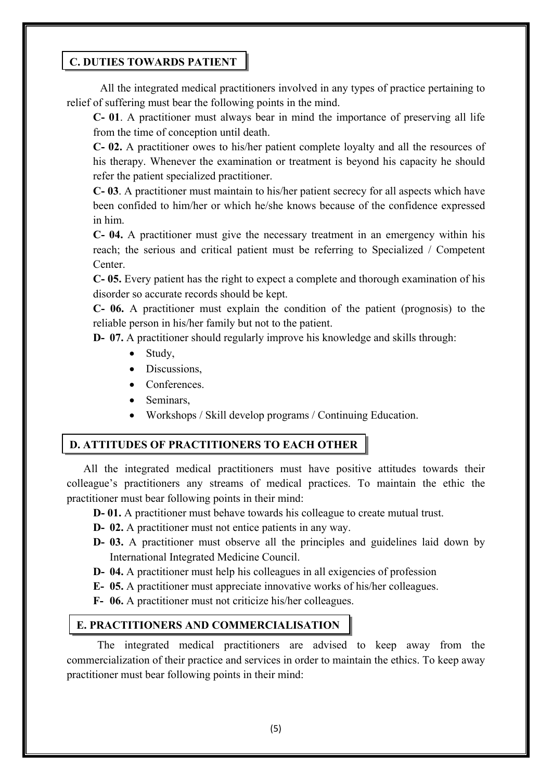### **C. DUTIES TOWARDS PATIENT**

 All the integrated medical practitioners involved in any types of practice pertaining to relief of suffering must bear the following points in the mind.

**C- 01**. A practitioner must always bear in mind the importance of preserving all life from the time of conception until death.

**C- 02.** A practitioner owes to his/her patient complete loyalty and all the resources of his therapy. Whenever the examination or treatment is beyond his capacity he should refer the patient specialized practitioner.

**C- 03**. A practitioner must maintain to his/her patient secrecy for all aspects which have been confided to him/her or which he/she knows because of the confidence expressed in him.

**C- 04.** A practitioner must give the necessary treatment in an emergency within his reach; the serious and critical patient must be referring to Specialized / Competent Center.

**C- 05.** Every patient has the right to expect a complete and thorough examination of his disorder so accurate records should be kept.

**C- 06.** A practitioner must explain the condition of the patient (prognosis) to the reliable person in his/her family but not to the patient.

**D- 07.** A practitioner should regularly improve his knowledge and skills through:

- Study,
- Discussions.
- Conferences.
- Seminars,
- Workshops / Skill develop programs / Continuing Education.

# **D. ATTITUDES OF PRACTITIONERS TO EACH OTHER**

 All the integrated medical practitioners must have positive attitudes towards their colleague's practitioners any streams of medical practices. To maintain the ethic the practitioner must bear following points in their mind:

- **D- 01.** A practitioner must behave towards his colleague to create mutual trust.
- **D- 02.** A practitioner must not entice patients in any way.
- **D- 03.** A practitioner must observe all the principles and guidelines laid down by International Integrated Medicine Council.
- **D- 04.** A practitioner must help his colleagues in all exigencies of profession
- **E- 05.** A practitioner must appreciate innovative works of his/her colleagues.
- **F- 06.** A practitioner must not criticize his/her colleagues.

# **E. PRACTITIONERS AND COMMERCIALISATION**

 The integrated medical practitioners are advised to keep away from the commercialization of their practice and services in order to maintain the ethics. To keep away practitioner must bear following points in their mind: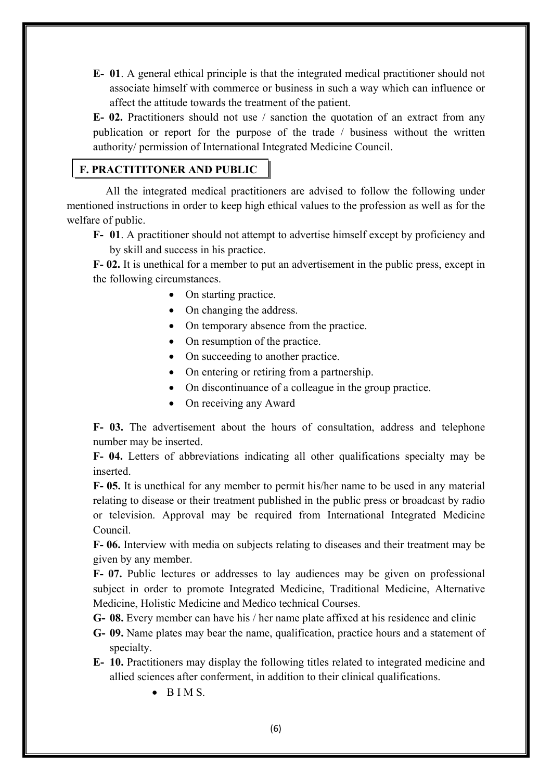**E- 01**. A general ethical principle is that the integrated medical practitioner should not associate himself with commerce or business in such a way which can influence or affect the attitude towards the treatment of the patient.

**E- 02.** Practitioners should not use / sanction the quotation of an extract from any publication or report for the purpose of the trade / business without the written authority/ permission of International Integrated Medicine Council.

## **F. PRACTITITONER AND PUBLIC**

 All the integrated medical practitioners are advised to follow the following under mentioned instructions in order to keep high ethical values to the profession as well as for the welfare of public.

**F- 01**. A practitioner should not attempt to advertise himself except by proficiency and by skill and success in his practice.

**F- 02.** It is unethical for a member to put an advertisement in the public press, except in the following circumstances.

- On starting practice.
- On changing the address.
- On temporary absence from the practice.
- On resumption of the practice.
- On succeeding to another practice.
- On entering or retiring from a partnership.
- On discontinuance of a colleague in the group practice.
- On receiving any Award

**F- 03.** The advertisement about the hours of consultation, address and telephone number may be inserted.

**F- 04.** Letters of abbreviations indicating all other qualifications specialty may be inserted.

**F- 05.** It is unethical for any member to permit his/her name to be used in any material relating to disease or their treatment published in the public press or broadcast by radio or television. Approval may be required from International Integrated Medicine Council.

**F- 06.** Interview with media on subjects relating to diseases and their treatment may be given by any member.

**F- 07.** Public lectures or addresses to lay audiences may be given on professional subject in order to promote Integrated Medicine, Traditional Medicine, Alternative Medicine, Holistic Medicine and Medico technical Courses.

**G- 08.** Every member can have his / her name plate affixed at his residence and clinic

**G- 09.** Name plates may bear the name, qualification, practice hours and a statement of specialty.

- **E- 10.** Practitioners may display the following titles related to integrated medicine and allied sciences after conferment, in addition to their clinical qualifications.
	- $\bullet$  BIMS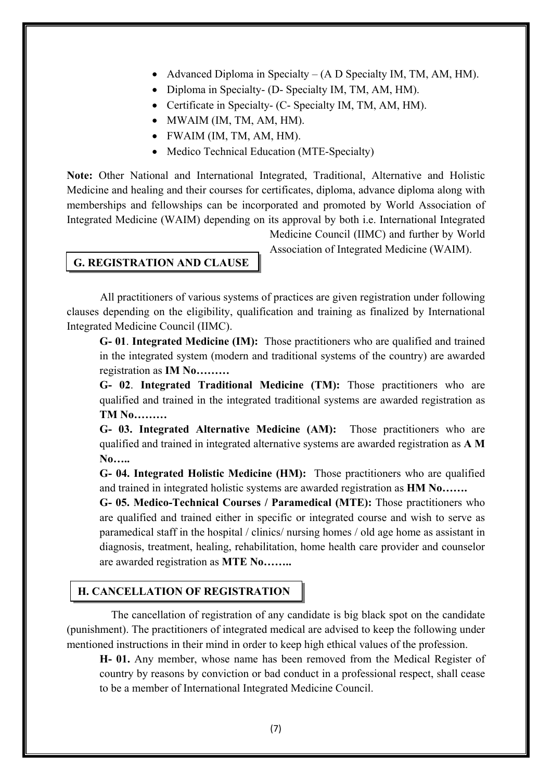- Advanced Diploma in Specialty (A D Specialty IM, TM, AM, HM).
- Diploma in Specialty- (D- Specialty IM, TM, AM, HM).
- Certificate in Specialty- (C- Specialty IM, TM, AM, HM).
- MWAIM (IM, TM, AM, HM).
- FWAIM (IM, TM, AM, HM).
- Medico Technical Education (MTE-Specialty)

**Note:** Other National and International Integrated, Traditional, Alternative and Holistic Medicine and healing and their courses for certificates, diploma, advance diploma along with memberships and fellowships can be incorporated and promoted by World Association of Integrated Medicine (WAIM) depending on its approval by both i.e. International Integrated

### **G. REGISTRATION AND CLAUSE**

Medicine Council (IIMC) and further by World Association of Integrated Medicine (WAIM).

 All practitioners of various systems of practices are given registration under following clauses depending on the eligibility, qualification and training as finalized by International Integrated Medicine Council (IIMC).

**G- 01**. **Integrated Medicine (IM):** Those practitioners who are qualified and trained in the integrated system (modern and traditional systems of the country) are awarded registration as **IM No………**

**G- 02**. **Integrated Traditional Medicine (TM):** Those practitioners who are qualified and trained in the integrated traditional systems are awarded registration as **TM No………**

**G- 03. Integrated Alternative Medicine (AM):** Those practitioners who are qualified and trained in integrated alternative systems are awarded registration as **A M No…..**

**G- 04. Integrated Holistic Medicine (HM):** Those practitioners who are qualified and trained in integrated holistic systems are awarded registration as **HM No…….** 

**G- 05. Medico-Technical Courses / Paramedical (MTE):** Those practitioners who are qualified and trained either in specific or integrated course and wish to serve as paramedical staff in the hospital / clinics/ nursing homes / old age home as assistant in diagnosis, treatment, healing, rehabilitation, home health care provider and counselor are awarded registration as **MTE No……..** 

### **H. CANCELLATION OF REGISTRATION**

 The cancellation of registration of any candidate is big black spot on the candidate (punishment). The practitioners of integrated medical are advised to keep the following under mentioned instructions in their mind in order to keep high ethical values of the profession.

**H- 01.** Any member, whose name has been removed from the Medical Register of country by reasons by conviction or bad conduct in a professional respect, shall cease to be a member of International Integrated Medicine Council.